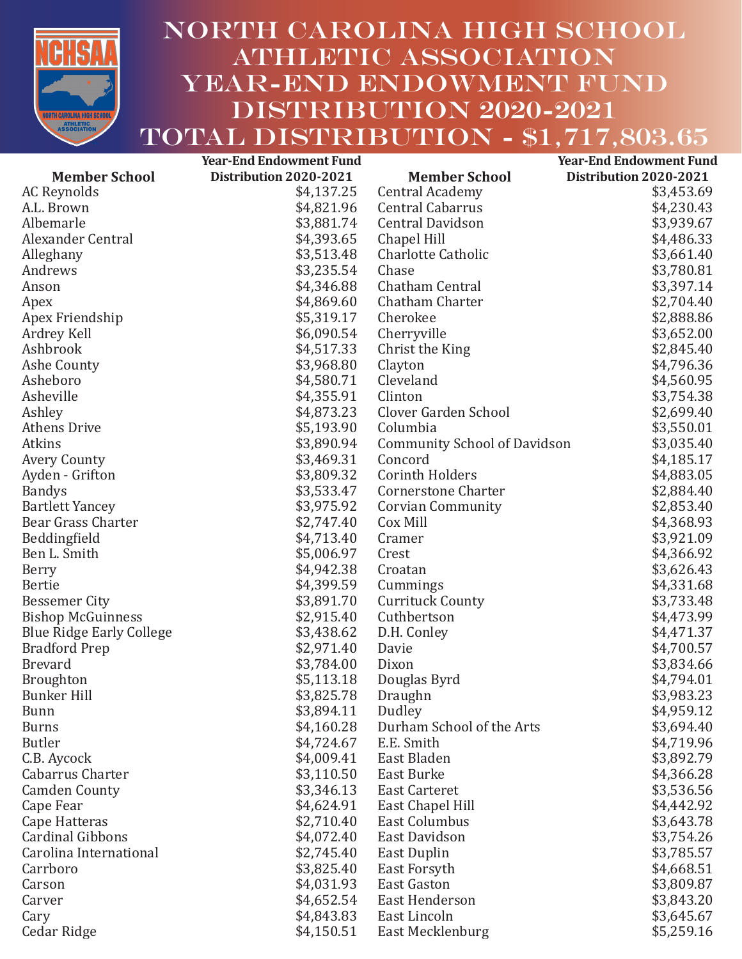

## North carolina high school athletic association YEAR-END ENDOWMENT FUND DISTRIBUTION 2020-2021 TOTAL DISTRIBUTION - \$1,717,803.65

|                                 | <b>Year-End Endowment Fund</b> |                                     | <b>Year-End Endowment Fund</b> |
|---------------------------------|--------------------------------|-------------------------------------|--------------------------------|
| <b>Member School</b>            | Distribution 2020-2021         | <b>Member School</b>                | Distribution 2020-2021         |
| <b>AC Reynolds</b>              | \$4,137.25                     | <b>Central Academy</b>              | \$3,453.69                     |
| A.L. Brown                      | \$4,821.96                     | <b>Central Cabarrus</b>             | \$4,230.43                     |
| Albemarle                       | \$3,881.74                     | <b>Central Davidson</b>             | \$3,939.67                     |
| Alexander Central               | \$4,393.65                     | Chapel Hill                         | \$4,486.33                     |
| Alleghany                       | \$3,513.48                     | <b>Charlotte Catholic</b>           | \$3,661.40                     |
| Andrews                         | \$3,235.54                     | Chase                               | \$3,780.81                     |
| Anson                           | \$4,346.88                     | Chatham Central                     | \$3,397.14                     |
| Apex                            | \$4,869.60                     | Chatham Charter                     | \$2,704.40                     |
| Apex Friendship                 | \$5,319.17                     | Cherokee                            | \$2,888.86                     |
| Ardrey Kell                     | \$6,090.54                     | Cherryville                         | \$3,652.00                     |
| Ashbrook                        | \$4,517.33                     | Christ the King                     | \$2,845.40                     |
| Ashe County                     | \$3,968.80                     | Clayton                             | \$4,796.36                     |
| Asheboro                        | \$4,580.71                     | Cleveland                           | \$4,560.95                     |
| Asheville                       | \$4,355.91                     | Clinton                             | \$3,754.38                     |
| Ashley                          | \$4,873.23                     | Clover Garden School                | \$2,699.40                     |
| <b>Athens Drive</b>             | \$5,193.90                     | Columbia                            | \$3,550.01                     |
| Atkins                          | \$3,890.94                     | <b>Community School of Davidson</b> | \$3,035.40                     |
| <b>Avery County</b>             | \$3,469.31                     | Concord                             | \$4,185.17                     |
| Ayden - Grifton                 | \$3,809.32                     | <b>Corinth Holders</b>              | \$4,883.05                     |
| <b>Bandys</b>                   | \$3,533.47                     | <b>Cornerstone Charter</b>          | \$2,884.40                     |
| <b>Bartlett Yancey</b>          | \$3,975.92                     | <b>Corvian Community</b>            | \$2,853.40                     |
| Bear Grass Charter              | \$2,747.40                     | Cox Mill                            | \$4,368.93                     |
| Beddingfield                    | \$4,713.40                     | Cramer                              | \$3,921.09                     |
| Ben L. Smith                    | \$5,006.97                     | Crest                               | \$4,366.92                     |
| Berry                           | \$4,942.38                     | Croatan                             | \$3,626.43                     |
| <b>Bertie</b>                   | \$4,399.59                     | Cummings                            | \$4,331.68                     |
| <b>Bessemer City</b>            | \$3,891.70                     | <b>Currituck County</b>             | \$3,733.48                     |
| <b>Bishop McGuinness</b>        | \$2,915.40                     | Cuthbertson                         | \$4,473.99                     |
| <b>Blue Ridge Early College</b> | \$3,438.62                     | D.H. Conley                         | \$4,471.37                     |
| <b>Bradford Prep</b>            | \$2,971.40                     | Davie                               | \$4,700.57                     |
| <b>Brevard</b>                  | \$3,784.00                     | Dixon                               | \$3,834.66                     |
| <b>Broughton</b>                | \$5,113.18                     | Douglas Byrd                        | \$4,794.01                     |
| <b>Bunker Hill</b>              | \$3,825.78                     | Draughn                             | \$3,983.23                     |
| <b>Bunn</b>                     | \$3,894.11                     | Dudley                              | \$4,959.12                     |
| <b>Burns</b>                    | \$4,160.28                     | Durham School of the Arts           | \$3,694.40                     |
| <b>Butler</b>                   | \$4,724.67                     | E.E. Smith                          | \$4,719.96                     |
| C.B. Aycock                     | \$4,009.41                     | East Bladen                         | \$3,892.79                     |
| Cabarrus Charter                | \$3,110.50                     | East Burke                          | \$4,366.28                     |
| <b>Camden County</b>            | \$3,346.13                     | <b>East Carteret</b>                | \$3,536.56                     |
| Cape Fear                       | \$4,624.91                     | East Chapel Hill                    | \$4,442.92                     |
| Cape Hatteras                   | \$2,710.40                     | <b>East Columbus</b>                | \$3,643.78                     |
| Cardinal Gibbons                | \$4,072.40                     | East Davidson                       | \$3,754.26                     |
| Carolina International          | \$2,745.40                     | East Duplin                         | \$3,785.57                     |
| Carrboro                        | \$3,825.40                     | East Forsyth                        | \$4,668.51                     |
| Carson                          | \$4,031.93                     | <b>East Gaston</b>                  | \$3,809.87                     |
| Carver                          | \$4,652.54                     | East Henderson                      | \$3,843.20                     |
| Cary                            | \$4,843.83                     | East Lincoln                        | \$3,645.67                     |
| Cedar Ridge                     | \$4,150.51                     | East Mecklenburg                    | \$5,259.16                     |
|                                 |                                |                                     |                                |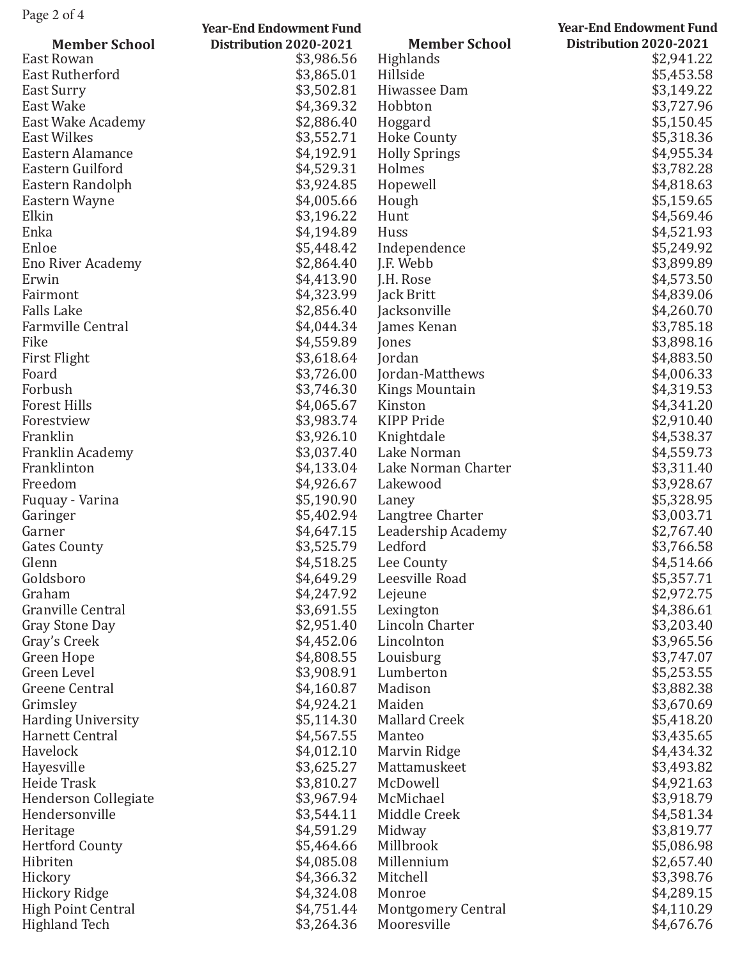|                              | <b>Year-End Endowment Fund</b> |                           | <b>Year-End Endowment Fund</b> |
|------------------------------|--------------------------------|---------------------------|--------------------------------|
| <b>Member School</b>         | Distribution 2020-2021         | <b>Member School</b>      | Distribution 2020-2021         |
| East Rowan                   | \$3,986.56                     | Highlands                 | \$2,941.22                     |
| <b>East Rutherford</b>       | \$3,865.01                     | Hillside                  | \$5,453.58                     |
| East Surry                   | \$3,502.81                     | Hiwassee Dam              | \$3,149.22                     |
| East Wake                    | \$4,369.32                     | Hobbton                   | \$3,727.96                     |
| East Wake Academy            | \$2,886.40                     | Hoggard                   | \$5,150.45                     |
| <b>East Wilkes</b>           | \$3,552.71                     | <b>Hoke County</b>        | \$5,318.36                     |
| Eastern Alamance             | \$4,192.91                     | <b>Holly Springs</b>      | \$4,955.34                     |
| Eastern Guilford             | \$4,529.31                     | Holmes                    | \$3,782.28                     |
| Eastern Randolph             | \$3,924.85                     | Hopewell                  | \$4,818.63                     |
| Eastern Wayne                | \$4,005.66                     | Hough                     | \$5,159.65                     |
| Elkin                        | \$3,196.22                     | Hunt                      | \$4,569.46                     |
| Enka                         | \$4,194.89                     | Huss                      | \$4,521.93                     |
| Enloe                        | \$5,448.42                     | Independence              | \$5,249.92                     |
| <b>Eno River Academy</b>     | \$2,864.40                     | J.F. Webb                 | \$3,899.89                     |
| Erwin                        | \$4,413.90                     | J.H. Rose                 | \$4,573.50                     |
| Fairmont                     | \$4,323.99                     | Jack Britt                | \$4,839.06                     |
| <b>Falls Lake</b>            | \$2,856.40                     | Jacksonville              | \$4,260.70                     |
| <b>Farmville Central</b>     | \$4,044.34                     | James Kenan               | \$3,785.18                     |
| Fike                         | \$4,559.89                     | Jones                     | \$3,898.16                     |
| First Flight                 | \$3,618.64                     | <b>Jordan</b>             | \$4,883.50                     |
| Foard                        | \$3,726.00                     | Jordan-Matthews           | \$4,006.33                     |
| Forbush                      | \$3,746.30                     | <b>Kings Mountain</b>     | \$4,319.53                     |
| <b>Forest Hills</b>          | \$4,065.67                     | Kinston                   | \$4,341.20                     |
| Forestview                   | \$3,983.74                     | <b>KIPP Pride</b>         | \$2,910.40                     |
| Franklin                     | \$3,926.10                     | Knightdale                | \$4,538.37                     |
| Franklin Academy             | \$3,037.40                     | Lake Norman               | \$4,559.73                     |
| Franklinton                  | \$4,133.04                     | Lake Norman Charter       | \$3,311.40                     |
| Freedom                      | \$4,926.67                     | Lakewood                  | \$3,928.67                     |
|                              | \$5,190.90                     | Laney                     | \$5,328.95                     |
| Fuquay - Varina              | \$5,402.94                     | Langtree Charter          | \$3,003.71                     |
| Garinger<br>Garner           | \$4,647.15                     | Leadership Academy        | \$2,767.40                     |
|                              | \$3,525.79                     | Ledford                   | \$3,766.58                     |
| <b>Gates County</b><br>Glenn |                                |                           |                                |
| Goldsboro                    | \$4,518.25<br>\$4,649.29       | Lee County                | \$4,514.66                     |
| Graham                       |                                | Leesville Road            | \$5,357.71                     |
|                              | \$4,247.92                     | Lejeune                   | \$2,972.75                     |
| Granville Central            | \$3,691.55                     | Lexington                 | \$4,386.61                     |
| <b>Gray Stone Day</b>        | \$2,951.40                     | Lincoln Charter           | \$3,203.40                     |
| Gray's Creek                 | \$4,452.06                     | Lincolnton                | \$3,965.56                     |
| Green Hope                   | \$4,808.55                     | Louisburg                 | \$3,747.07                     |
| Green Level                  | \$3,908.91                     | Lumberton                 | \$5,253.55                     |
| Greene Central               | \$4,160.87                     | Madison                   | \$3,882.38                     |
| Grimsley                     | \$4,924.21                     | Maiden                    | \$3,670.69                     |
| <b>Harding University</b>    | \$5,114.30                     | <b>Mallard Creek</b>      | \$5,418.20                     |
| Harnett Central              | \$4,567.55                     | Manteo                    | \$3,435.65                     |
| Havelock                     | \$4,012.10                     | Marvin Ridge              | \$4,434.32                     |
| Hayesville                   | \$3,625.27                     | Mattamuskeet              | \$3,493.82                     |
| Heide Trask                  | \$3,810.27                     | McDowell                  | \$4,921.63                     |
| <b>Henderson Collegiate</b>  | \$3,967.94                     | McMichael                 | \$3,918.79                     |
| Hendersonville               | \$3,544.11                     | Middle Creek              | \$4,581.34                     |
| Heritage                     | \$4,591.29                     | Midway                    | \$3,819.77                     |
| <b>Hertford County</b>       | \$5,464.66                     | Millbrook                 | \$5,086.98                     |
| Hibriten                     | \$4,085.08                     | Millennium                | \$2,657.40                     |
| Hickory                      | \$4,366.32                     | Mitchell                  | \$3,398.76                     |
| <b>Hickory Ridge</b>         | \$4,324.08                     | Monroe                    | \$4,289.15                     |
| <b>High Point Central</b>    | \$4,751.44                     | <b>Montgomery Central</b> | \$4,110.29                     |
| <b>Highland Tech</b>         | \$3,264.36                     | Mooresville               | \$4,676.76                     |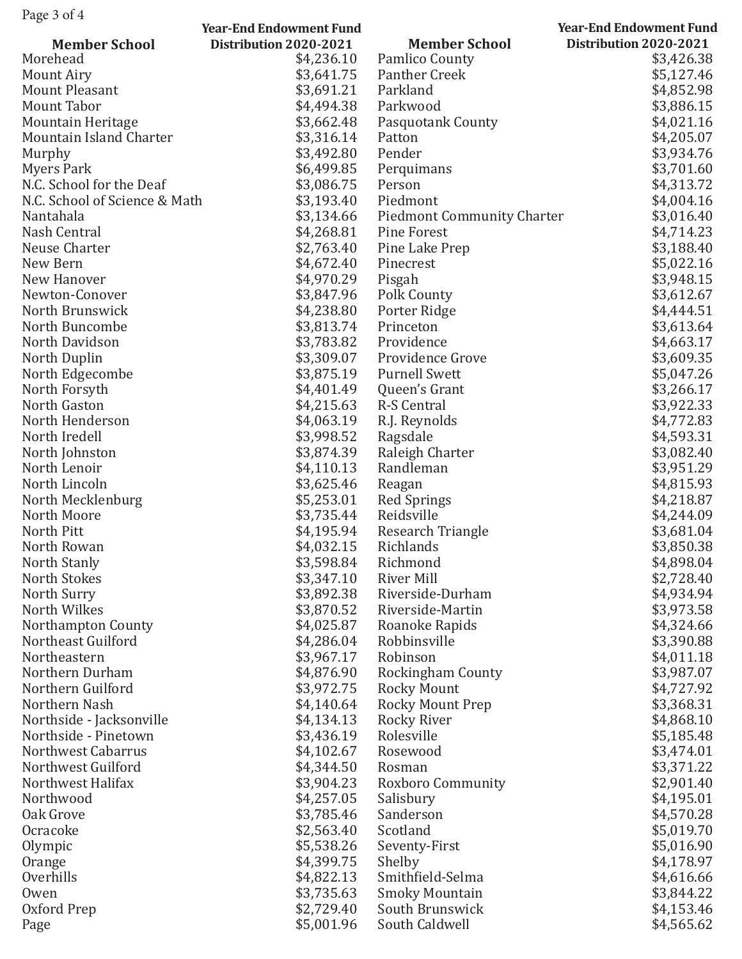| rage $3 \times 4$                   | <b>Year-End Endowment Fund</b> |                                   | <b>Year-End Endowment Fund</b> |
|-------------------------------------|--------------------------------|-----------------------------------|--------------------------------|
| <b>Member School</b>                | Distribution 2020-2021         | <b>Member School</b>              | Distribution 2020-2021         |
| Morehead                            | \$4,236.10                     | Pamlico County                    | \$3,426.38                     |
|                                     | \$3,641.75                     | Panther Creek                     | \$5,127.46                     |
| Mount Airy<br><b>Mount Pleasant</b> |                                | Parkland                          |                                |
|                                     | \$3,691.21                     |                                   | \$4,852.98                     |
| <b>Mount Tabor</b>                  | \$4,494.38                     | Parkwood                          | \$3,886.15                     |
| <b>Mountain Heritage</b>            | \$3,662.48                     | <b>Pasquotank County</b>          | \$4,021.16                     |
| Mountain Island Charter             | \$3,316.14                     | Patton                            | \$4,205.07                     |
| Murphy                              | \$3,492.80                     | Pender                            | \$3,934.76                     |
| Myers Park                          | \$6,499.85                     | Perquimans                        | \$3,701.60                     |
| N.C. School for the Deaf            | \$3,086.75                     | Person                            | \$4,313.72                     |
| N.C. School of Science & Math       | \$3,193.40                     | Piedmont                          | \$4,004.16                     |
| Nantahala                           | \$3,134.66                     | <b>Piedmont Community Charter</b> | \$3,016.40                     |
| Nash Central                        | \$4,268.81                     | Pine Forest                       | \$4,714.23                     |
| Neuse Charter                       | \$2,763.40                     | Pine Lake Prep                    | \$3,188.40                     |
| New Bern                            | \$4,672.40                     | Pinecrest                         | \$5,022.16                     |
| New Hanover                         | \$4,970.29                     | Pisgah                            | \$3,948.15                     |
| Newton-Conover                      | \$3,847.96                     | Polk County                       | \$3,612.67                     |
| North Brunswick                     | \$4,238.80                     | Porter Ridge                      | \$4,444.51                     |
| North Buncombe                      | \$3,813.74                     | Princeton                         | \$3,613.64                     |
| North Davidson                      | \$3,783.82                     | Providence                        | \$4,663.17                     |
| North Duplin                        | \$3,309.07                     | Providence Grove                  | \$3,609.35                     |
| North Edgecombe                     | \$3,875.19                     | <b>Purnell Swett</b>              | \$5,047.26                     |
| North Forsyth                       | \$4,401.49                     | Queen's Grant                     | \$3,266.17                     |
| North Gaston                        | \$4,215.63                     | <b>R-S Central</b>                | \$3,922.33                     |
| North Henderson                     | \$4,063.19                     | R.J. Reynolds                     | \$4,772.83                     |
| North Iredell                       | \$3,998.52                     | Ragsdale                          | \$4,593.31                     |
| North Johnston                      | \$3,874.39                     | Raleigh Charter                   | \$3,082.40                     |
| North Lenoir                        | \$4,110.13                     | Randleman                         | \$3,951.29                     |
| North Lincoln                       | \$3,625.46                     | Reagan                            | \$4,815.93                     |
| North Mecklenburg                   | \$5,253.01                     | <b>Red Springs</b>                | \$4,218.87                     |
| North Moore                         | \$3,735.44                     | Reidsville                        | \$4,244.09                     |
| North Pitt                          | \$4,195.94                     | Research Triangle                 | \$3,681.04                     |
| North Rowan                         | \$4,032.15                     | Richlands                         | \$3,850.38                     |
| North Stanly                        | \$3,598.84                     | Richmond                          | \$4,898.04                     |
| North Stokes                        | \$3,347.10                     | <b>River Mill</b>                 | \$2,728.40                     |
| North Surry                         | \$3,892.38                     | Riverside-Durham                  | \$4,934.94                     |
| North Wilkes                        | \$3,870.52                     | Riverside-Martin                  | \$3,973.58                     |
| Northampton County                  | \$4,025.87                     | Roanoke Rapids                    | \$4,324.66                     |
| Northeast Guilford                  | \$4,286.04                     | Robbinsville                      | \$3,390.88                     |
| Northeastern                        | \$3,967.17                     | Robinson                          | \$4,011.18                     |
| Northern Durham                     | \$4,876.90                     | <b>Rockingham County</b>          | \$3,987.07                     |
| Northern Guilford                   | \$3,972.75                     | <b>Rocky Mount</b>                | \$4,727.92                     |
| Northern Nash                       | \$4,140.64                     | Rocky Mount Prep                  | \$3,368.31                     |
| Northside - Jacksonville            | \$4,134.13                     | Rocky River                       | \$4,868.10                     |
| Northside - Pinetown                | \$3,436.19                     | Rolesville                        | \$5,185.48                     |
| Northwest Cabarrus                  | \$4,102.67                     | Rosewood                          | \$3,474.01                     |
| Northwest Guilford                  | \$4,344.50                     | Rosman                            | \$3,371.22                     |
| Northwest Halifax                   | \$3,904.23                     | Roxboro Community                 | \$2,901.40                     |
| Northwood                           | \$4,257.05                     | Salisbury                         | \$4,195.01                     |
| Oak Grove                           | \$3,785.46                     | Sanderson                         | \$4,570.28                     |
| Ocracoke                            | \$2,563.40                     | Scotland                          | \$5,019.70                     |
| Olympic                             | \$5,538.26                     | Seventy-First                     | \$5,016.90                     |
| Orange                              | \$4,399.75                     | Shelby                            | \$4,178.97                     |
| Overhills                           | \$4,822.13                     | Smithfield-Selma                  | \$4,616.66                     |
| Owen                                | \$3,735.63                     | <b>Smoky Mountain</b>             | \$3,844.22                     |
| Oxford Prep                         | \$2,729.40                     | South Brunswick                   | \$4,153.46                     |
| Page                                | \$5,001.96                     | South Caldwell                    | \$4,565.62                     |
|                                     |                                |                                   |                                |